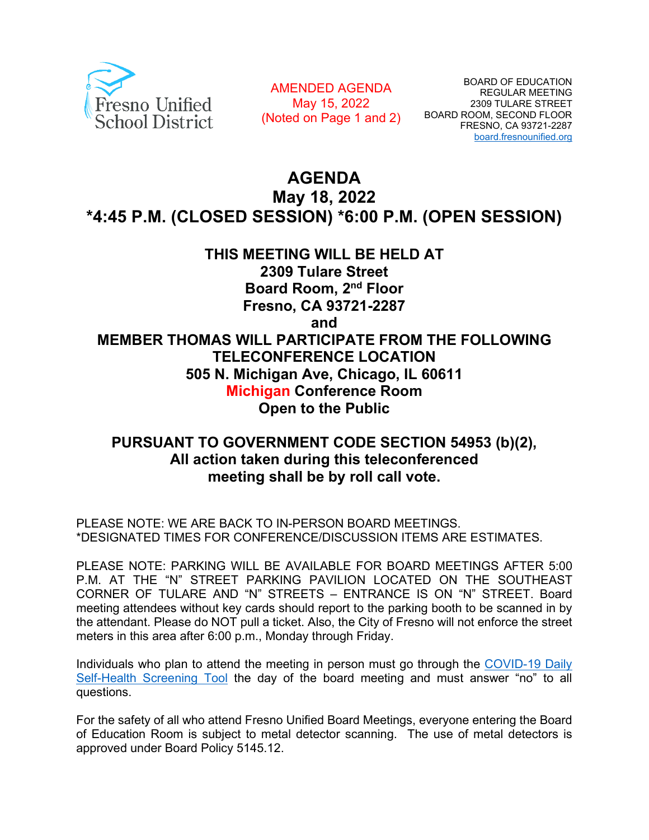

AMENDED AGENDA May 15, 2022 (Noted on Page 1 and 2)

# **AGENDA May 18, 2022 \*4:45 P.M. (CLOSED SESSION) \*6:00 P.M. (OPEN SESSION)**

# **THIS MEETING WILL BE HELD AT 2309 Tulare Street Board Room, 2nd Floor Fresno, CA 93721-2287 and MEMBER THOMAS WILL PARTICIPATE FROM THE FOLLOWING TELECONFERENCE LOCATION 505 N. Michigan Ave, Chicago, IL 60611 Michigan Conference Room Open to the Public**

# **PURSUANT TO GOVERNMENT CODE SECTION 54953 (b)(2), All action taken during this teleconferenced meeting shall be by roll call vote.**

PLEASE NOTE: WE ARE BACK TO IN-PERSON BOARD MEETINGS. \*DESIGNATED TIMES FOR CONFERENCE/DISCUSSION ITEMS ARE ESTIMATES.

PLEASE NOTE: PARKING WILL BE AVAILABLE FOR BOARD MEETINGS AFTER 5:00 P.M. AT THE "N" STREET PARKING PAVILION LOCATED ON THE SOUTHEAST CORNER OF TULARE AND "N" STREETS – ENTRANCE IS ON "N" STREET. Board meeting attendees without key cards should report to the parking booth to be scanned in by the attendant. Please do NOT pull a ticket. Also, the City of Fresno will not enforce the street meters in this area after 6:00 p.m., Monday through Friday.

Individuals who plan to attend the meeting in person must go through the COVID-19 Daily [Self-Health Screening Tool](https://www.fresnounified.org/covid19/) the day of the board meeting and must answer "no" to all questions.

For the safety of all who attend Fresno Unified Board Meetings, everyone entering the Board of Education Room is subject to metal detector scanning. The use of metal detectors is approved under Board Policy 5145.12.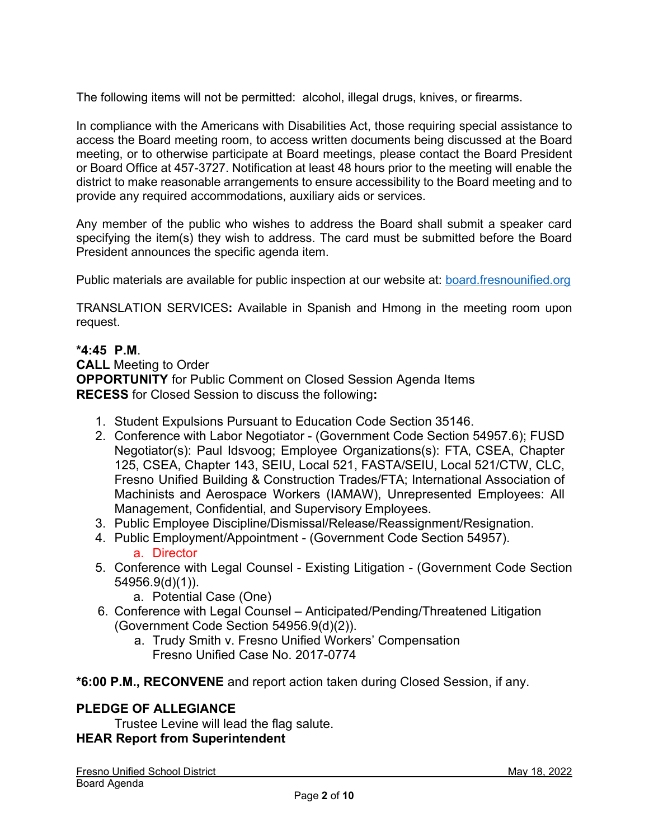The following items will not be permitted: alcohol, illegal drugs, knives, or firearms.

In compliance with the Americans with Disabilities Act, those requiring special assistance to access the Board meeting room, to access written documents being discussed at the Board meeting, or to otherwise participate at Board meetings, please contact the Board President or Board Office at 457-3727. Notification at least 48 hours prior to the meeting will enable the district to make reasonable arrangements to ensure accessibility to the Board meeting and to provide any required accommodations, auxiliary aids or services.

Any member of the public who wishes to address the Board shall submit a speaker card specifying the item(s) they wish to address. The card must be submitted before the Board President announces the specific agenda item.

Public materials are available for public inspection at our website at: [board.fresnounified.org](https://board.fresnounified.org/)

TRANSLATION SERVICES**:** Available in Spanish and Hmong in the meeting room upon request.

#### **\*4:45 P.M**.

**CALL** Meeting to Order **OPPORTUNITY** for Public Comment on Closed Session Agenda Items **RECESS** for Closed Session to discuss the following**:**

- 1. Student Expulsions Pursuant to Education Code Section 35146.
- 2. Conference with Labor Negotiator (Government Code Section 54957.6); FUSD Negotiator(s): Paul Idsvoog; Employee Organizations(s): FTA, CSEA, Chapter 125, CSEA, Chapter 143, SEIU, Local 521, FASTA/SEIU, Local 521/CTW, CLC, Fresno Unified Building & Construction Trades/FTA; International Association of Machinists and Aerospace Workers (IAMAW), Unrepresented Employees: All Management, Confidential, and Supervisory Employees.
- 3. Public Employee Discipline/Dismissal/Release/Reassignment/Resignation.
- 4. Public Employment/Appointment (Government Code Section 54957). a. Director
- 5. Conference with Legal Counsel Existing Litigation (Government Code Section 54956.9(d)(1)).
	- a. Potential Case (One)
- 6. Conference with Legal Counsel Anticipated/Pending/Threatened Litigation (Government Code Section 54956.9(d)(2)).
	- a. Trudy Smith v. Fresno Unified Workers' Compensation Fresno Unified Case No. 2017-0774
- **\*6:00 P.M., RECONVENE** and report action taken during Closed Session, if any.

#### **PLEDGE OF ALLEGIANCE**

Trustee Levine will lead the flag salute. **HEAR Report from Superintendent**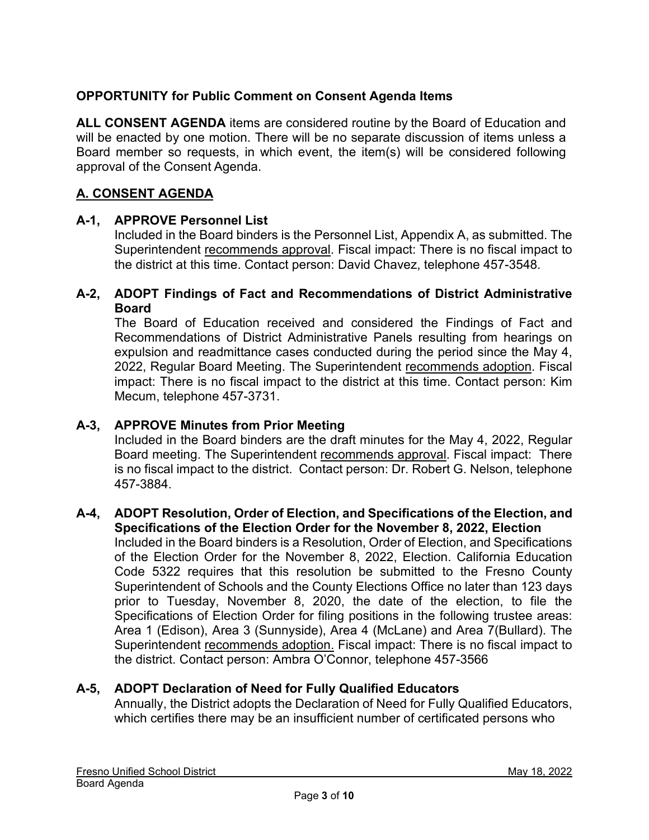# **OPPORTUNITY for Public Comment on Consent Agenda Items**

**ALL CONSENT AGENDA** items are considered routine by the Board of Education and will be enacted by one motion. There will be no separate discussion of items unless a Board member so requests, in which event, the item(s) will be considered following approval of the Consent Agenda.

# **A. CONSENT AGENDA**

# **A-1, APPROVE Personnel List**

Included in the Board binders is the Personnel List, Appendix A, as submitted. The Superintendent recommends approval. Fiscal impact: There is no fiscal impact to the district at this time. Contact person: David Chavez, telephone 457-3548.

### **A-2, ADOPT Findings of Fact and Recommendations of District Administrative Board**

The Board of Education received and considered the Findings of Fact and Recommendations of District Administrative Panels resulting from hearings on expulsion and readmittance cases conducted during the period since the May 4, 2022, Regular Board Meeting. The Superintendent recommends adoption. Fiscal impact: There is no fiscal impact to the district at this time. Contact person: Kim Mecum, telephone 457-3731.

## **A-3, APPROVE Minutes from Prior Meeting**

Included in the Board binders are the draft minutes for the May 4, 2022, Regular Board meeting. The Superintendent recommends approval. Fiscal impact: There is no fiscal impact to the district. Contact person: Dr. Robert G. Nelson, telephone 457-3884.

#### **A-4, ADOPT Resolution, Order of Election, and Specifications of the Election, and Specifications of the Election Order for the November 8, 2022, Election**

Included in the Board binders is a Resolution, Order of Election, and Specifications of the Election Order for the November 8, 2022, Election. California Education Code 5322 requires that this resolution be submitted to the Fresno County Superintendent of Schools and the County Elections Office no later than 123 days prior to Tuesday, November 8, 2020, the date of the election, to file the Specifications of Election Order for filing positions in the following trustee areas: Area 1 (Edison), Area 3 (Sunnyside), Area 4 (McLane) and Area 7(Bullard). The Superintendent recommends adoption. Fiscal impact: There is no fiscal impact to the district. Contact person: Ambra O'Connor, telephone 457-3566

#### **A-5, ADOPT Declaration of Need for Fully Qualified Educators**

Annually, the District adopts the Declaration of Need for Fully Qualified Educators, which certifies there may be an insufficient number of certificated persons who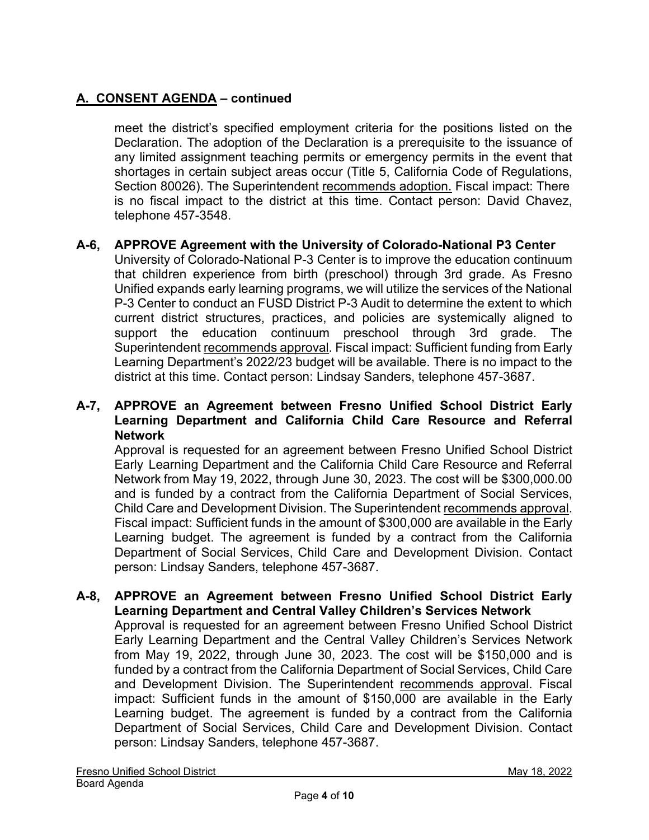meet the district's specified employment criteria for the positions listed on the Declaration. The adoption of the Declaration is a prerequisite to the issuance of any limited assignment teaching permits or emergency permits in the event that shortages in certain subject areas occur (Title 5, California Code of Regulations, Section 80026). The Superintendent recommends adoption. Fiscal impact: There is no fiscal impact to the district at this time. Contact person: David Chavez, telephone 457-3548.

### **A-6, APPROVE Agreement with the University of Colorado-National P3 Center**

University of Colorado-National P-3 Center is to improve the education continuum that children experience from birth (preschool) through 3rd grade. As Fresno Unified expands early learning programs, we will utilize the services of the National P-3 Center to conduct an FUSD District P-3 Audit to determine the extent to which current district structures, practices, and policies are systemically aligned to support the education continuum preschool through 3rd grade. The Superintendent recommends approval. Fiscal impact: Sufficient funding from Early Learning Department's 2022/23 budget will be available. There is no impact to the district at this time. Contact person: Lindsay Sanders, telephone 457-3687.

#### **A-7, APPROVE an Agreement between Fresno Unified School District Early Learning Department and California Child Care Resource and Referral Network**

Approval is requested for an agreement between Fresno Unified School District Early Learning Department and the California Child Care Resource and Referral Network from May 19, 2022, through June 30, 2023. The cost will be \$300,000.00 and is funded by a contract from the California Department of Social Services, Child Care and Development Division. The Superintendent recommends approval. Fiscal impact: Sufficient funds in the amount of \$300,000 are available in the Early Learning budget. The agreement is funded by a contract from the California Department of Social Services, Child Care and Development Division. Contact person: Lindsay Sanders, telephone 457-3687.

# **A-8, APPROVE an Agreement between Fresno Unified School District Early Learning Department and Central Valley Children's Services Network**

Approval is requested for an agreement between Fresno Unified School District Early Learning Department and the Central Valley Children's Services Network from May 19, 2022, through June 30, 2023. The cost will be \$150,000 and is funded by a contract from the California Department of Social Services, Child Care and Development Division. The Superintendent recommends approval. Fiscal impact: Sufficient funds in the amount of \$150,000 are available in the Early Learning budget. The agreement is funded by a contract from the California Department of Social Services, Child Care and Development Division. Contact person: Lindsay Sanders, telephone 457-3687.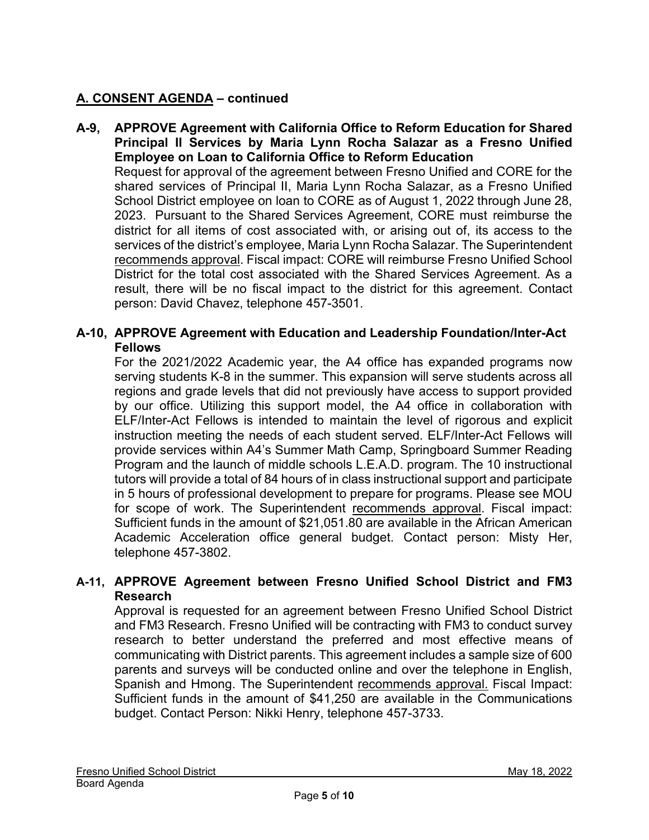**A-9, APPROVE Agreement with California Office to Reform Education for Shared Principal II Services by Maria Lynn Rocha Salazar as a Fresno Unified Employee on Loan to California Office to Reform Education** Request for approval of the agreement between Fresno Unified and CORE for the shared services of Principal II, Maria Lynn Rocha Salazar, as a Fresno Unified School District employee on loan to CORE as of August 1, 2022 through June 28, 2023. Pursuant to the Shared Services Agreement, CORE must reimburse the district for all items of cost associated with, or arising out of, its access to the services of the district's employee, Maria Lynn Rocha Salazar. The Superintendent recommends approval. Fiscal impact: CORE will reimburse Fresno Unified School District for the total cost associated with the Shared Services Agreement. As a result, there will be no fiscal impact to the district for this agreement. Contact person: David Chavez, telephone 457-3501.

## **A-10, APPROVE Agreement with Education and Leadership Foundation/Inter-Act Fellows**

For the 2021/2022 Academic year, the A4 office has expanded programs now serving students K-8 in the summer. This expansion will serve students across all regions and grade levels that did not previously have access to support provided by our office. Utilizing this support model, the A4 office in collaboration with ELF/Inter-Act Fellows is intended to maintain the level of rigorous and explicit instruction meeting the needs of each student served. ELF/Inter-Act Fellows will provide services within A4's Summer Math Camp, Springboard Summer Reading Program and the launch of middle schools L.E.A.D. program. The 10 instructional tutors will provide a total of 84 hours of in class instructional support and participate in 5 hours of professional development to prepare for programs. Please see MOU for scope of work. The Superintendent recommends approval. Fiscal impact: Sufficient funds in the amount of \$21,051.80 are available in the African American Academic Acceleration office general budget. Contact person: Misty Her, telephone 457-3802.

# **A-11, APPROVE Agreement between Fresno Unified School District and FM3 Research**

Approval is requested for an agreement between Fresno Unified School District and FM3 Research. Fresno Unified will be contracting with FM3 to conduct survey research to better understand the preferred and most effective means of communicating with District parents. This agreement includes a sample size of 600 parents and surveys will be conducted online and over the telephone in English, Spanish and Hmong. The Superintendent recommends approval. Fiscal Impact: Sufficient funds in the amount of \$41,250 are available in the Communications budget. Contact Person: Nikki Henry, telephone 457-3733.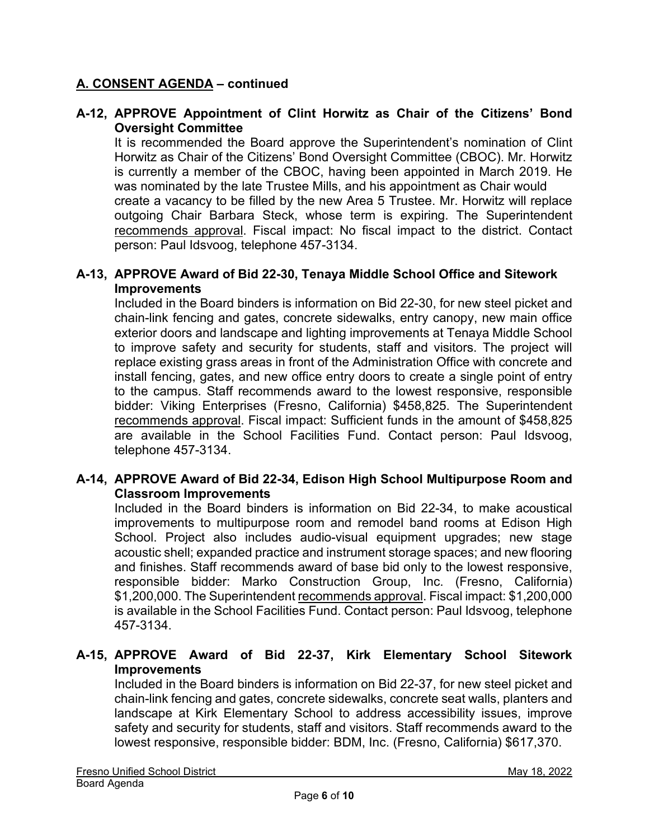### **A-12, APPROVE Appointment of Clint Horwitz as Chair of the Citizens' Bond Oversight Committee**

It is recommended the Board approve the Superintendent's nomination of Clint Horwitz as Chair of the Citizens' Bond Oversight Committee (CBOC). Mr. Horwitz is currently a member of the CBOC, having been appointed in March 2019. He was nominated by the late Trustee Mills, and his appointment as Chair would create a vacancy to be filled by the new Area 5 Trustee. Mr. Horwitz will replace outgoing Chair Barbara Steck, whose term is expiring. The Superintendent recommends approval. Fiscal impact: No fiscal impact to the district. Contact person: Paul Idsvoog, telephone 457-3134.

#### **A-13, APPROVE Award of Bid 22-30, Tenaya Middle School Office and Sitework Improvements**

Included in the Board binders is information on Bid 22-30, for new steel picket and chain-link fencing and gates, concrete sidewalks, entry canopy, new main office exterior doors and landscape and lighting improvements at Tenaya Middle School to improve safety and security for students, staff and visitors. The project will replace existing grass areas in front of the Administration Office with concrete and install fencing, gates, and new office entry doors to create a single point of entry to the campus. Staff recommends award to the lowest responsive, responsible bidder: Viking Enterprises (Fresno, California) \$458,825. The Superintendent recommends approval. Fiscal impact: Sufficient funds in the amount of \$458,825 are available in the School Facilities Fund. Contact person: Paul Idsvoog, telephone 457-3134.

#### **A-14, APPROVE Award of Bid 22-34, Edison High School Multipurpose Room and Classroom Improvements**

Included in the Board binders is information on Bid 22-34, to make acoustical improvements to multipurpose room and remodel band rooms at Edison High School. Project also includes audio-visual equipment upgrades; new stage acoustic shell; expanded practice and instrument storage spaces; and new flooring and finishes. Staff recommends award of base bid only to the lowest responsive, responsible bidder: Marko Construction Group, Inc. (Fresno, California) \$1,200,000. The Superintendent recommends approval. Fiscal impact: \$1,200,000 is available in the School Facilities Fund. Contact person: Paul Idsvoog, telephone 457-3134.

### **A-15, APPROVE Award of Bid 22-37, Kirk Elementary School Sitework Improvements**

Included in the Board binders is information on Bid 22-37, for new steel picket and chain-link fencing and gates, concrete sidewalks, concrete seat walls, planters and landscape at Kirk Elementary School to address accessibility issues, improve safety and security for students, staff and visitors. Staff recommends award to the lowest responsive, responsible bidder: BDM, Inc. (Fresno, California) \$617,370.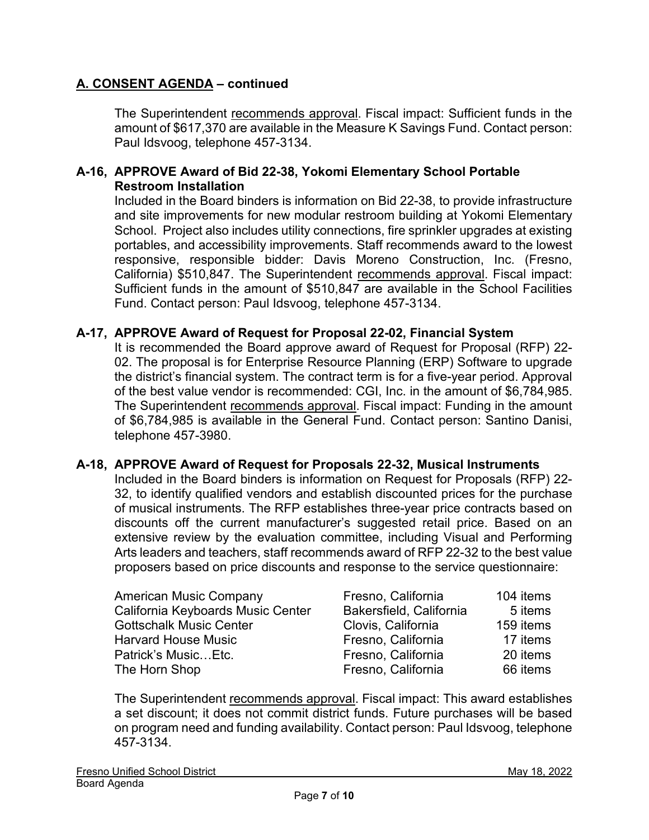The Superintendent recommends approval. Fiscal impact: Sufficient funds in the amount of \$617,370 are available in the Measure K Savings Fund. Contact person: Paul Idsvoog, telephone 457-3134.

### **A-16, APPROVE Award of Bid 22-38, Yokomi Elementary School Portable Restroom Installation**

Included in the Board binders is information on Bid 22-38, to provide infrastructure and site improvements for new modular restroom building at Yokomi Elementary School. Project also includes utility connections, fire sprinkler upgrades at existing portables, and accessibility improvements. Staff recommends award to the lowest responsive, responsible bidder: Davis Moreno Construction, Inc. (Fresno, California) \$510,847. The Superintendent recommends approval. Fiscal impact: Sufficient funds in the amount of \$510,847 are available in the School Facilities Fund. Contact person: Paul Idsvoog, telephone 457-3134.

#### **A-17, APPROVE Award of Request for Proposal 22-02, Financial System**

It is recommended the Board approve award of Request for Proposal (RFP) 22- 02. The proposal is for Enterprise Resource Planning (ERP) Software to upgrade the district's financial system. The contract term is for a five-year period. Approval of the best value vendor is recommended: CGI, Inc. in the amount of \$6,784,985. The Superintendent recommends approval. Fiscal impact: Funding in the amount of \$6,784,985 is available in the General Fund. Contact person: Santino Danisi, telephone 457-3980.

#### **A-18, APPROVE Award of Request for Proposals 22-32, Musical Instruments**

Included in the Board binders is information on Request for Proposals (RFP) 22- 32, to identify qualified vendors and establish discounted prices for the purchase of musical instruments. The RFP establishes three-year price contracts based on discounts off the current manufacturer's suggested retail price. Based on an extensive review by the evaluation committee, including Visual and Performing Arts leaders and teachers, staff recommends award of RFP 22-32 to the best value proposers based on price discounts and response to the service questionnaire:

| <b>American Music Company</b>     | Fresno, California      | 104 items |
|-----------------------------------|-------------------------|-----------|
| California Keyboards Music Center | Bakersfield, California | 5 items   |
| <b>Gottschalk Music Center</b>    | Clovis, California      | 159 items |
| <b>Harvard House Music</b>        | Fresno, California      | 17 items  |
| Patrick's Music Etc.              | Fresno, California      | 20 items  |
| The Horn Shop                     | Fresno, California      | 66 items  |

The Superintendent recommends approval. Fiscal impact: This award establishes a set discount; it does not commit district funds. Future purchases will be based on program need and funding availability. Contact person: Paul Idsvoog, telephone 457-3134.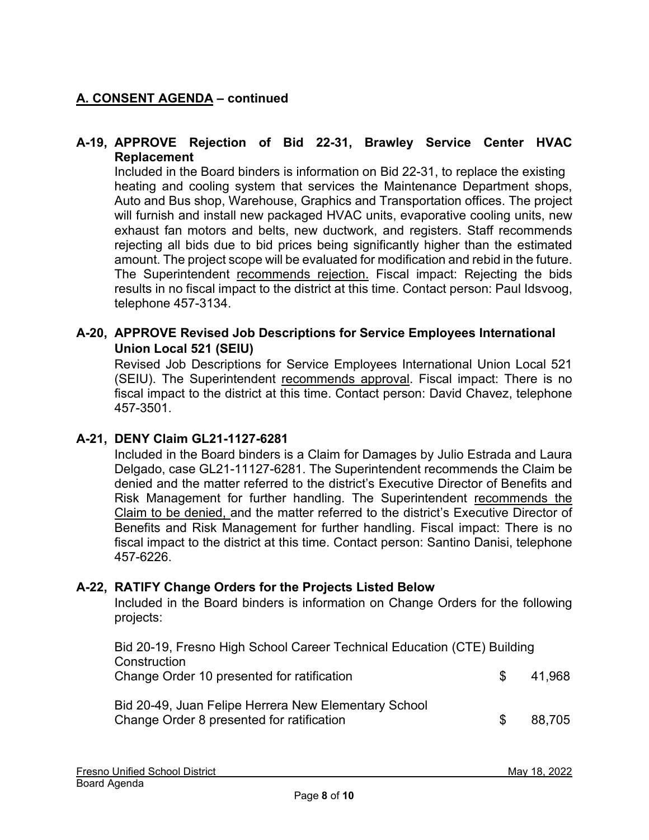## **A-19, APPROVE Rejection of Bid 22-31, Brawley Service Center HVAC Replacement**

Included in the Board binders is information on Bid 22-31, to replace the existing heating and cooling system that services the Maintenance Department shops, Auto and Bus shop, Warehouse, Graphics and Transportation offices. The project will furnish and install new packaged HVAC units, evaporative cooling units, new exhaust fan motors and belts, new ductwork, and registers. Staff recommends rejecting all bids due to bid prices being significantly higher than the estimated amount. The project scope will be evaluated for modification and rebid in the future. The Superintendent recommends rejection. Fiscal impact: Rejecting the bids results in no fiscal impact to the district at this time. Contact person: Paul Idsvoog, telephone 457-3134.

### **A-20, APPROVE Revised Job Descriptions for Service Employees International Union Local 521 (SEIU)**

Revised Job Descriptions for Service Employees International Union Local 521 (SEIU). The Superintendent recommends approval. Fiscal impact: There is no fiscal impact to the district at this time. Contact person: David Chavez, telephone 457-3501.

#### **A-21, DENY Claim GL21-1127-6281**

Included in the Board binders is a Claim for Damages by Julio Estrada and Laura Delgado, case GL21-11127-6281. The Superintendent recommends the Claim be denied and the matter referred to the district's Executive Director of Benefits and Risk Management for further handling. The Superintendent recommends the Claim to be denied, and the matter referred to the district's Executive Director of Benefits and Risk Management for further handling. Fiscal impact: There is no fiscal impact to the district at this time. Contact person: Santino Danisi, telephone 457-6226.

#### **A-22, RATIFY Change Orders for the Projects Listed Below**

Included in the Board binders is information on Change Orders for the following projects:

| Bid 20-19, Fresno High School Career Technical Education (CTE) Building<br>Construction           |     |        |  |
|---------------------------------------------------------------------------------------------------|-----|--------|--|
| Change Order 10 presented for ratification                                                        | S.  | 41,968 |  |
| Bid 20-49, Juan Felipe Herrera New Elementary School<br>Change Order 8 presented for ratification | \$. | 88.705 |  |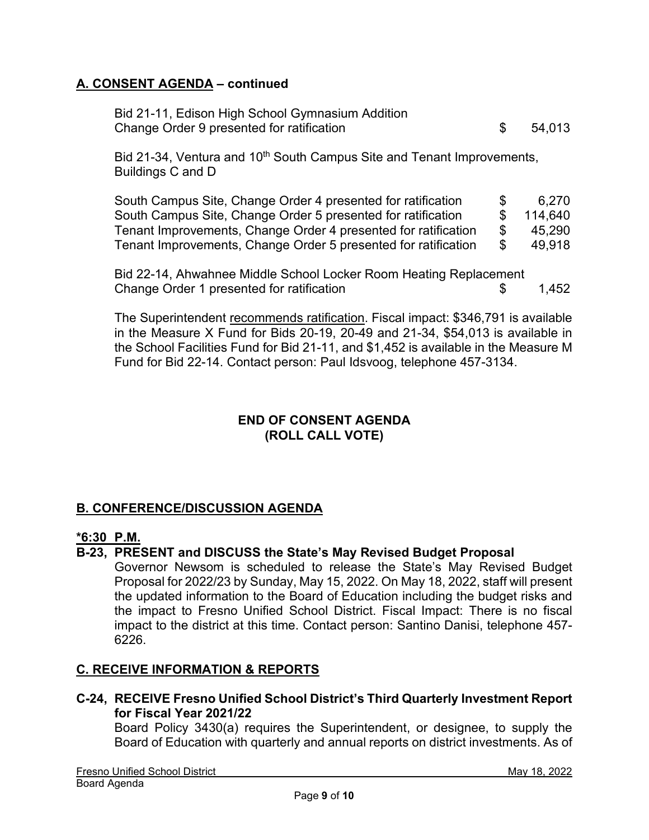| Bid 21-11, Edison High School Gymnasium Addition |        |
|--------------------------------------------------|--------|
| Change Order 9 presented for ratification        | 54.013 |

Bid 21-34, Ventura and 10<sup>th</sup> South Campus Site and Tenant Improvements, Buildings C and D

| South Campus Site, Change Order 4 presented for ratification   | S.  | 6.270   |
|----------------------------------------------------------------|-----|---------|
| South Campus Site, Change Order 5 presented for ratification   | SS. | 114.640 |
| Tenant Improvements, Change Order 4 presented for ratification | SS. | 45.290  |
| Tenant Improvements, Change Order 5 presented for ratification | SS. | 49.918  |

Bid 22-14, Ahwahnee Middle School Locker Room Heating Replacement Change Order 1 presented for ratification \$ 1,452

The Superintendent recommends ratification. Fiscal impact: \$346,791 is available in the Measure X Fund for Bids 20-19, 20-49 and 21-34, \$54,013 is available in the School Facilities Fund for Bid 21-11, and \$1,452 is available in the Measure M Fund for Bid 22-14. Contact person: Paul Idsvoog, telephone 457-3134.

### **END OF CONSENT AGENDA (ROLL CALL VOTE)**

# **B. CONFERENCE/DISCUSSION AGENDA**

#### **\*6:30 P.M.**

#### **B-23, PRESENT and DISCUSS the State's May Revised Budget Proposal**

Governor Newsom is scheduled to release the State's May Revised Budget Proposal for 2022/23 by Sunday, May 15, 2022. On May 18, 2022, staff will present the updated information to the Board of Education including the budget risks and the impact to Fresno Unified School District. Fiscal Impact: There is no fiscal impact to the district at this time. Contact person: Santino Danisi, telephone 457- 6226.

#### **C. RECEIVE INFORMATION & REPORTS**

**C-24, RECEIVE Fresno Unified School District's Third Quarterly Investment Report for Fiscal Year 2021/22**

Board Policy 3430(a) requires the Superintendent, or designee, to supply the Board of Education with quarterly and annual reports on district investments. As of